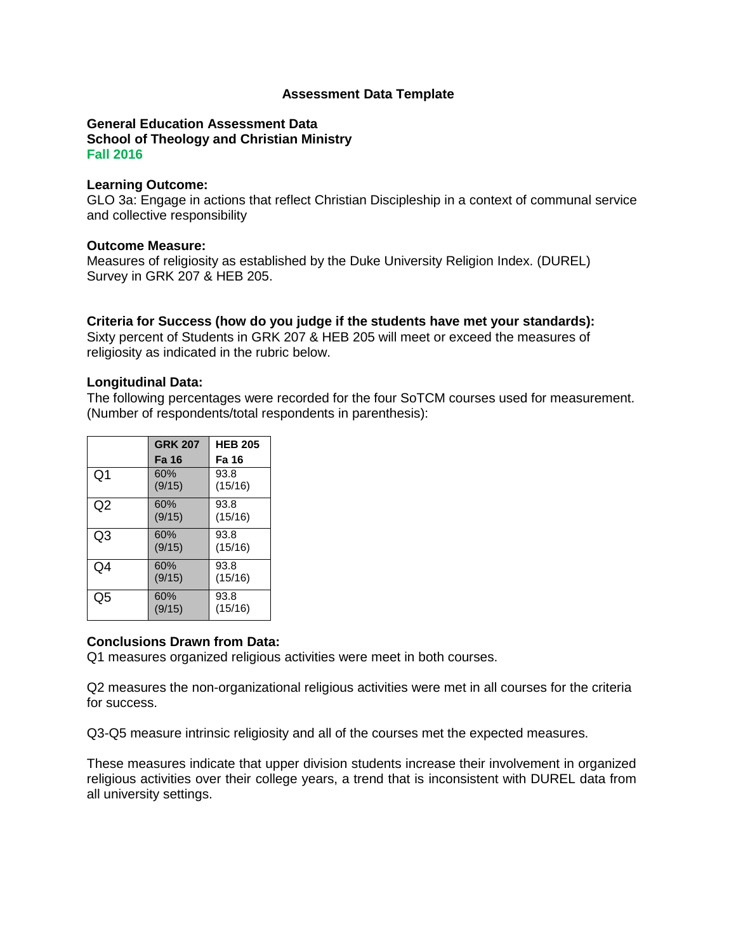### **Assessment Data Template**

#### **General Education Assessment Data School of Theology and Christian Ministry Fall 2016**

#### **Learning Outcome:**

GLO 3a: Engage in actions that reflect Christian Discipleship in a context of communal service and collective responsibility

### **Outcome Measure:**

Measures of religiosity as established by the Duke University Religion Index. (DUREL) Survey in GRK 207 & HEB 205.

# **Criteria for Success (how do you judge if the students have met your standards):**

Sixty percent of Students in GRK 207 & HEB 205 will meet or exceed the measures of religiosity as indicated in the rubric below.

### **Longitudinal Data:**

The following percentages were recorded for the four SoTCM courses used for measurement. (Number of respondents/total respondents in parenthesis):

|    | <b>GRK 207</b> | <b>HEB 205</b>  |
|----|----------------|-----------------|
|    | <b>Fa 16</b>   | Fa 16           |
| Q1 | 60%<br>(9/15)  | 93.8<br>(15/16) |
| Q2 | 60%<br>(9/15)  | 93.8<br>(15/16) |
| Q3 | 60%<br>(9/15)  | 93.8<br>(15/16) |
| Q4 | 60%<br>(9/15)  | 93.8<br>(15/16) |
| Q5 | 60%<br>(9/15)  | 93.8<br>(15/16) |

# **Conclusions Drawn from Data:**

Q1 measures organized religious activities were meet in both courses.

Q2 measures the non-organizational religious activities were met in all courses for the criteria for success.

Q3-Q5 measure intrinsic religiosity and all of the courses met the expected measures.

These measures indicate that upper division students increase their involvement in organized religious activities over their college years, a trend that is inconsistent with DUREL data from all university settings.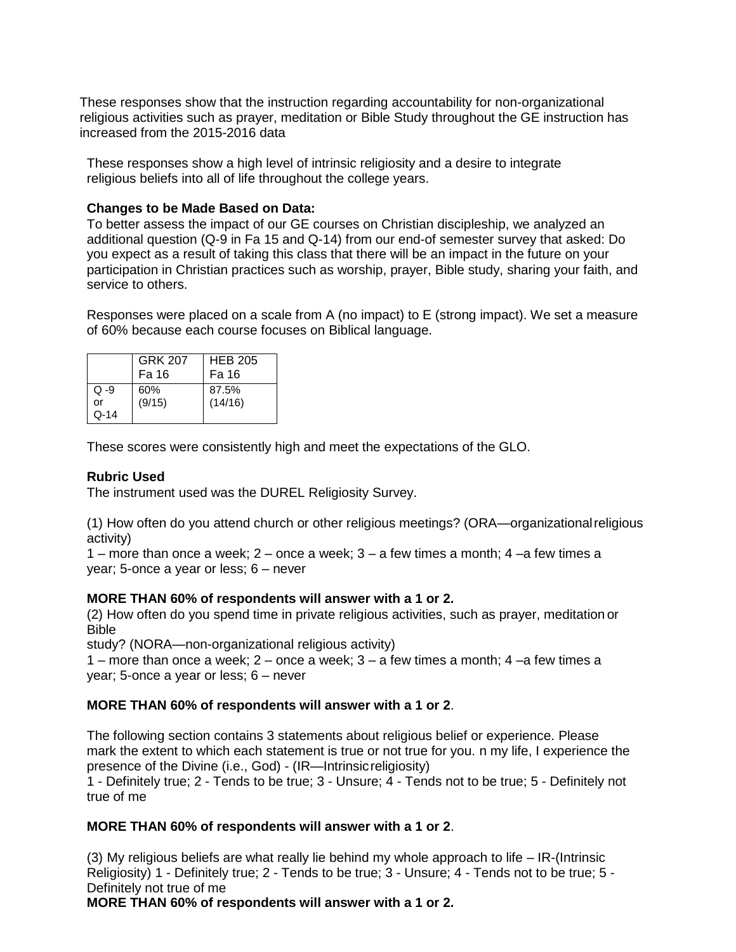These responses show that the instruction regarding accountability for non-organizational religious activities such as prayer, meditation or Bible Study throughout the GE instruction has increased from the 2015-2016 data

These responses show a high level of intrinsic religiosity and a desire to integrate religious beliefs into all of life throughout the college years.

## **Changes to be Made Based on Data:**

To better assess the impact of our GE courses on Christian discipleship, we analyzed an additional question (Q-9 in Fa 15 and Q-14) from our end-of semester survey that asked: Do you expect as a result of taking this class that there will be an impact in the future on your participation in Christian practices such as worship, prayer, Bible study, sharing your faith, and service to others.

Responses were placed on a scale from A (no impact) to E (strong impact). We set a measure of 60% because each course focuses on Biblical language.

|                           | GRK 207<br>Fa 16 | <b>HEB 205</b><br>Fa 16 |
|---------------------------|------------------|-------------------------|
| $Q - 9$<br>or<br>$Q - 14$ | 60%<br>(9/15)    | 87.5%<br>(14/16)        |

These scores were consistently high and meet the expectations of the GLO.

## **Rubric Used**

The instrument used was the DUREL Religiosity Survey.

(1) How often do you attend church or other religious meetings? (ORA—organizationalreligious activity)

1 – more than once a week;  $2$  – once a week;  $3$  – a few times a month;  $4$  –a few times a year; 5-once a year or less; 6 – never

#### **MORE THAN 60% of respondents will answer with a 1 or 2.**

(2) How often do you spend time in private religious activities, such as prayer, meditation or Bible

study? (NORA—non-organizational religious activity)

1 – more than once a week;  $2$  – once a week;  $3$  – a few times a month;  $4$  –a few times a year; 5-once a year or less; 6 – never

# **MORE THAN 60% of respondents will answer with a 1 or 2**.

The following section contains 3 statements about religious belief or experience. Please mark the extent to which each statement is true or not true for you. n my life, I experience the presence of the Divine (i.e., God) - (IR—Intrinsicreligiosity)

1 - Definitely true; 2 - Tends to be true; 3 - Unsure; 4 - Tends not to be true; 5 - Definitely not true of me

# **MORE THAN 60% of respondents will answer with a 1 or 2**.

(3) My religious beliefs are what really lie behind my whole approach to life – IR-(Intrinsic Religiosity) 1 - Definitely true; 2 - Tends to be true; 3 - Unsure; 4 - Tends not to be true; 5 - Definitely not true of me

**MORE THAN 60% of respondents will answer with a 1 or 2.**